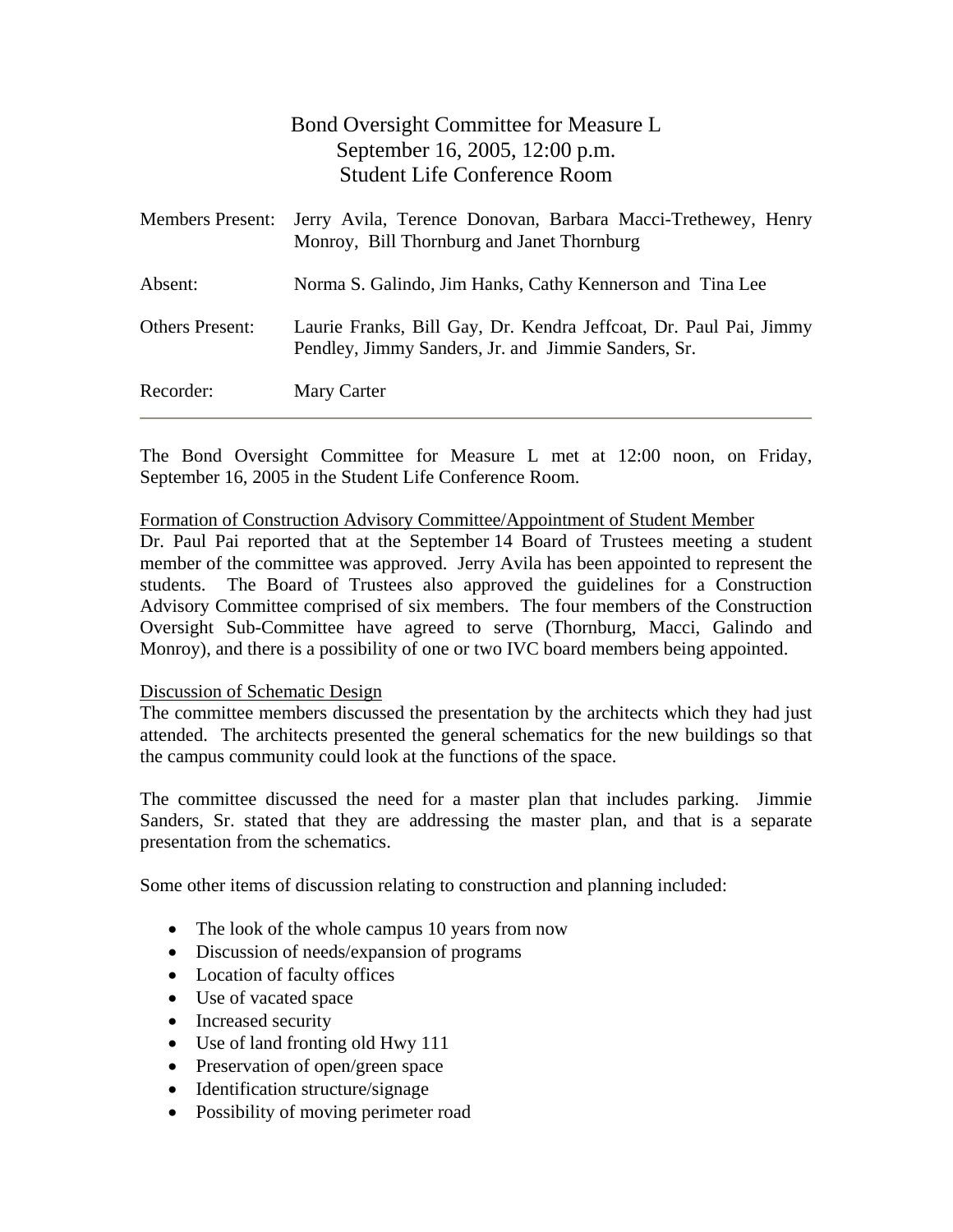|                         | Bond Oversight Committee for Measure L                                                                                   |
|-------------------------|--------------------------------------------------------------------------------------------------------------------------|
|                         | September 16, 2005, 12:00 p.m.                                                                                           |
|                         | <b>Student Life Conference Room</b>                                                                                      |
| <b>Members Present:</b> | Jerry Avila, Terence Donovan, Barbara Macci-Trethewey, Henry<br>Monroy, Bill Thornburg and Janet Thornburg               |
| Absent:                 | Norma S. Galindo, Jim Hanks, Cathy Kennerson and Tina Lee                                                                |
| <b>Others Present:</b>  | Laurie Franks, Bill Gay, Dr. Kendra Jeffcoat, Dr. Paul Pai, Jimmy<br>Pendley, Jimmy Sanders, Jr. and Jimmie Sanders, Sr. |
| Recorder:               | Mary Carter                                                                                                              |

The Bond Oversight Committee for Measure L met at 12:00 noon, on Friday, September 16, 2005 in the Student Life Conference Room.

### Formation of Construction Advisory Committee/Appointment of Student Member

Dr. Paul Pai reported that at the September 14 Board of Trustees meeting a student member of the committee was approved. Jerry Avila has been appointed to represent the students. The Board of Trustees also approved the guidelines for a Construction Advisory Committee comprised of six members. The four members of the Construction Oversight Sub-Committee have agreed to serve (Thornburg, Macci, Galindo and Monroy), and there is a possibility of one or two IVC board members being appointed.

## Discussion of Schematic Design

The committee members discussed the presentation by the architects which they had just attended. The architects presented the general schematics for the new buildings so that the campus community could look at the functions of the space.

The committee discussed the need for a master plan that includes parking. Jimmie Sanders, Sr. stated that they are addressing the master plan, and that is a separate presentation from the schematics.

Some other items of discussion relating to construction and planning included:

- The look of the whole campus 10 years from now
- Discussion of needs/expansion of programs
- Location of faculty offices
- Use of vacated space
- Increased security
- Use of land fronting old Hwy 111
- Preservation of open/green space
- Identification structure/signage
- Possibility of moving perimeter road